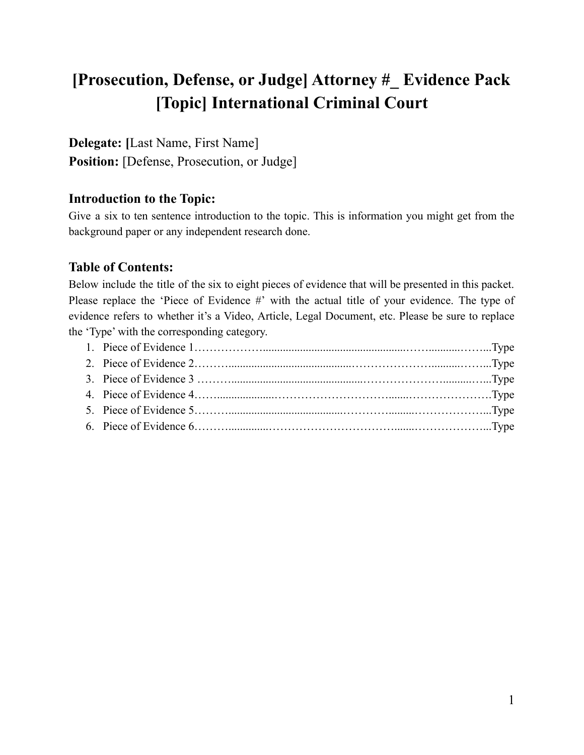# **[Prosecution, Defense, or Judge] Attorney #\_ Evidence Pack [Topic] International Criminal Court**

**Delegate: [**Last Name, First Name] **Position:** [Defense, Prosecution, or Judge]

### **Introduction to the Topic:**

Give a six to ten sentence introduction to the topic. This is information you might get from the background paper or any independent research done.

#### **Table of Contents:**

Below include the title of the six to eight pieces of evidence that will be presented in this packet. Please replace the 'Piece of Evidence #' with the actual title of your evidence. The type of evidence refers to whether it's a Video, Article, Legal Document, etc. Please be sure to replace the 'Type' with the corresponding category.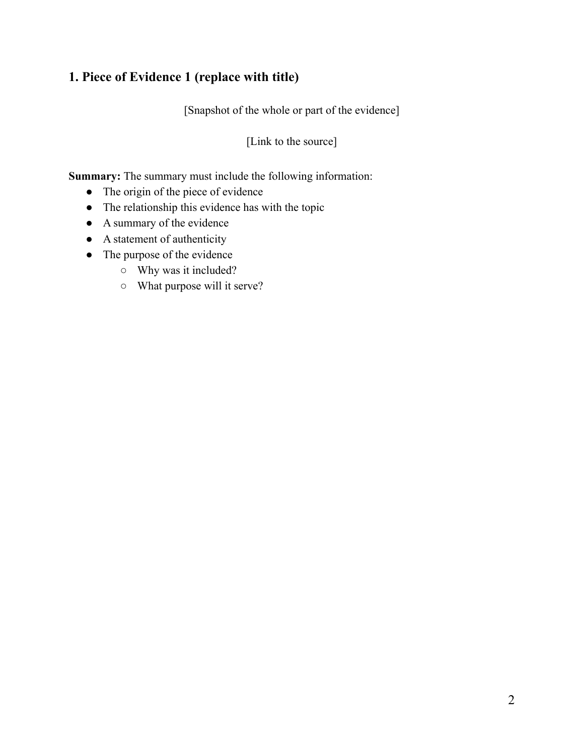## **1. Piece of Evidence 1 (replace with title)**

[Snapshot of the whole or part of the evidence]

[Link to the source]

- The origin of the piece of evidence
- The relationship this evidence has with the topic
- A summary of the evidence
- A statement of authenticity
- The purpose of the evidence
	- Why was it included?
	- What purpose will it serve?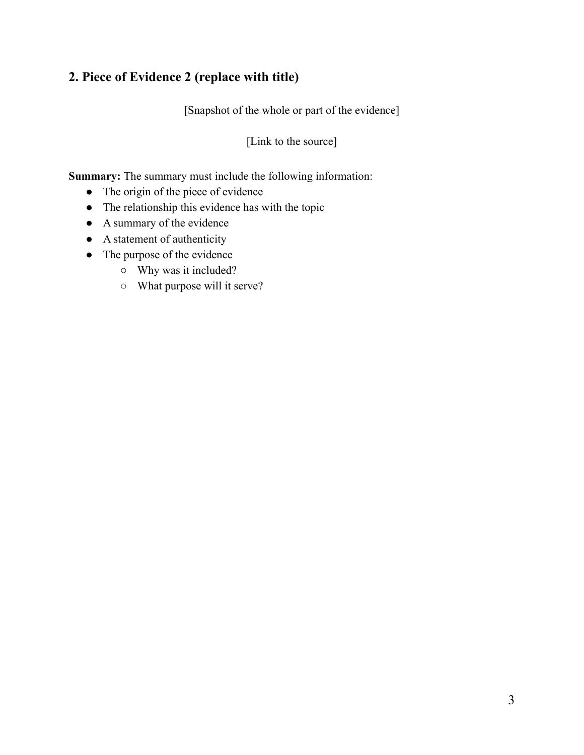## **2. Piece of Evidence 2 (replace with title)**

[Snapshot of the whole or part of the evidence]

[Link to the source]

- The origin of the piece of evidence
- The relationship this evidence has with the topic
- A summary of the evidence
- A statement of authenticity
- The purpose of the evidence
	- Why was it included?
	- What purpose will it serve?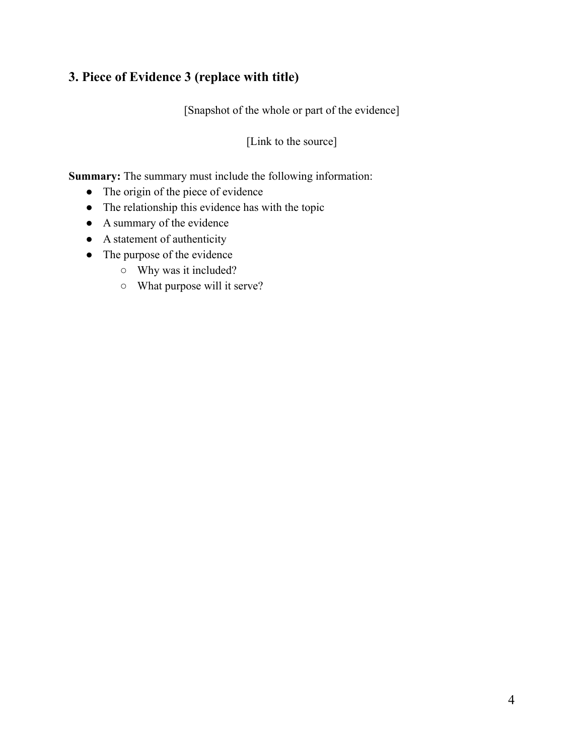# **3. Piece of Evidence 3 (replace with title)**

[Snapshot of the whole or part of the evidence]

[Link to the source]

- The origin of the piece of evidence
- The relationship this evidence has with the topic
- A summary of the evidence
- A statement of authenticity
- The purpose of the evidence
	- Why was it included?
	- What purpose will it serve?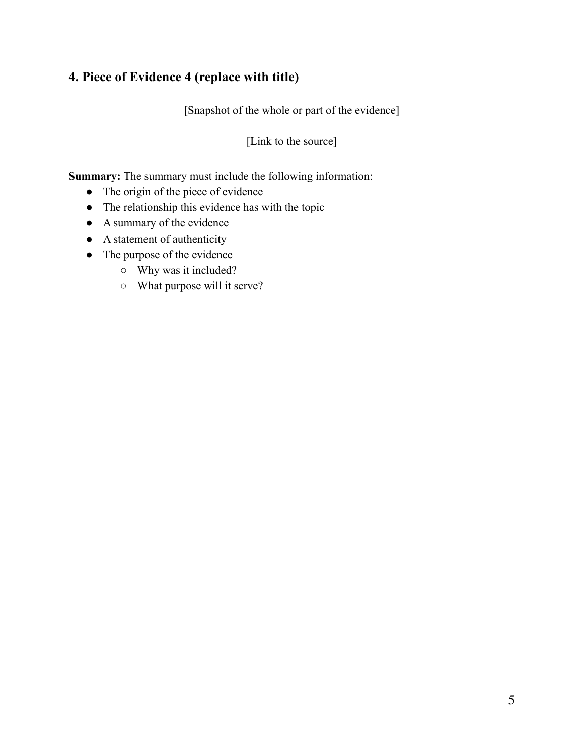### **4. Piece of Evidence 4 (replace with title)**

[Snapshot of the whole or part of the evidence]

[Link to the source]

- The origin of the piece of evidence
- The relationship this evidence has with the topic
- A summary of the evidence
- A statement of authenticity
- The purpose of the evidence
	- Why was it included?
	- What purpose will it serve?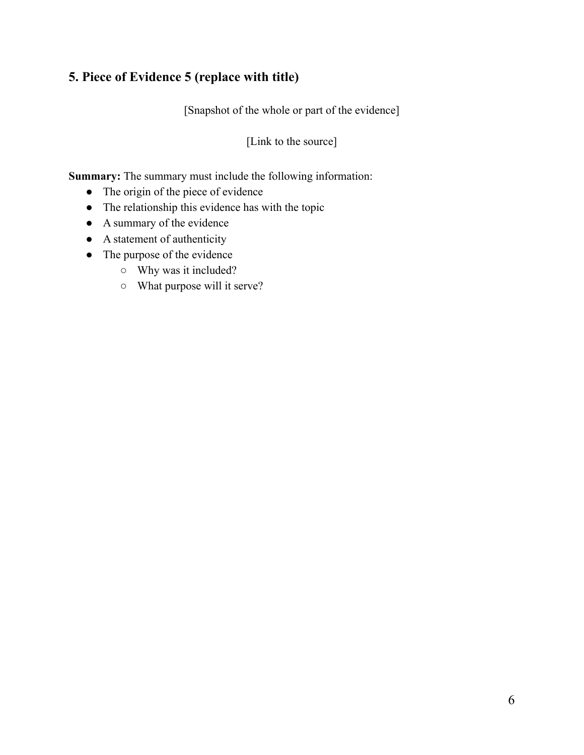# **5. Piece of Evidence 5 (replace with title)**

[Snapshot of the whole or part of the evidence]

[Link to the source]

- The origin of the piece of evidence
- The relationship this evidence has with the topic
- A summary of the evidence
- A statement of authenticity
- The purpose of the evidence
	- Why was it included?
	- What purpose will it serve?